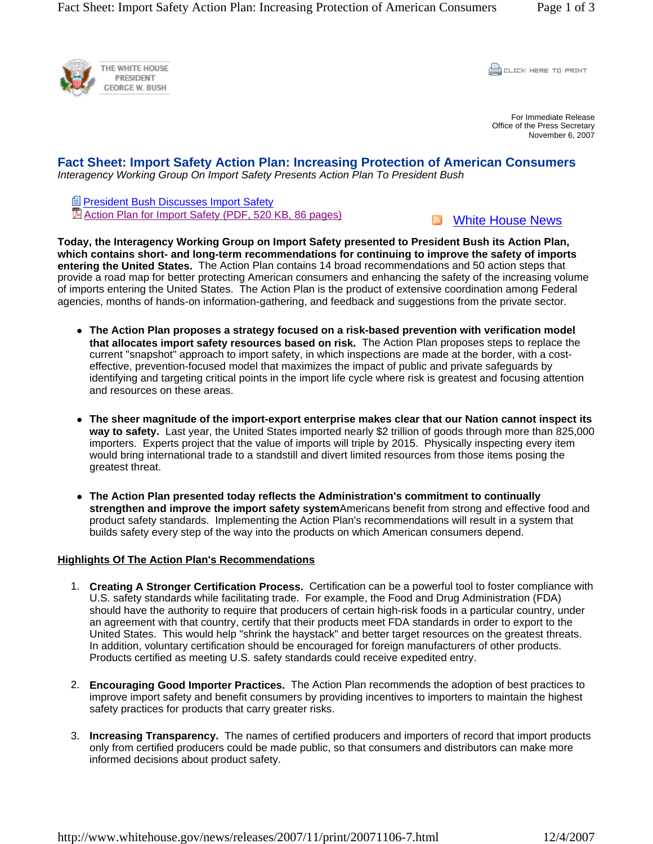

**CLICK HERE TO PRINT** 

For Immediate Release Office of the Press Secretary November 6, 2007

# **Fact Sheet: Import Safety Action Plan: Increasing Protection of American Consumers**  *Interagency Working Group On Import Safety Presents Action Plan To President Bush*

**President Bush Discusses Import Safety** Action Plan for Import Safety (PDF, 520 KB, 86 pages)

**N** White House News

**Today, the Interagency Working Group on Import Safety presented to President Bush its Action Plan, which contains short- and long-term recommendations for continuing to improve the safety of imports entering the United States.** The Action Plan contains 14 broad recommendations and 50 action steps that provide a road map for better protecting American consumers and enhancing the safety of the increasing volume of imports entering the United States. The Action Plan is the product of extensive coordination among Federal agencies, months of hands-on information-gathering, and feedback and suggestions from the private sector.

- The Action Plan proposes a strategy focused on a risk-based prevention with verification model **that allocates import safety resources based on risk.** The Action Plan proposes steps to replace the current "snapshot" approach to import safety, in which inspections are made at the border, with a costeffective, prevention-focused model that maximizes the impact of public and private safeguards by identifying and targeting critical points in the import life cycle where risk is greatest and focusing attention and resources on these areas.
- The sheer magnitude of the import-export enterprise makes clear that our Nation cannot inspect its **way to safety.** Last year, the United States imported nearly \$2 trillion of goods through more than 825,000 importers. Experts project that the value of imports will triple by 2015. Physically inspecting every item would bring international trade to a standstill and divert limited resources from those items posing the greatest threat.
- The Action Plan presented today reflects the Administration's commitment to continually **strengthen and improve the import safety system**Americans benefit from strong and effective food and product safety standards. Implementing the Action Plan's recommendations will result in a system that builds safety every step of the way into the products on which American consumers depend.

## **Highlights Of The Action Plan's Recommendations**

- 1. **Creating A Stronger Certification Process.** Certification can be a powerful tool to foster compliance with U.S. safety standards while facilitating trade. For example, the Food and Drug Administration (FDA) should have the authority to require that producers of certain high-risk foods in a particular country, under an agreement with that country, certify that their products meet FDA standards in order to export to the United States. This would help "shrink the haystack" and better target resources on the greatest threats. In addition, voluntary certification should be encouraged for foreign manufacturers of other products. Products certified as meeting U.S. safety standards could receive expedited entry.
- 2. **Encouraging Good Importer Practices.** The Action Plan recommends the adoption of best practices to improve import safety and benefit consumers by providing incentives to importers to maintain the highest safety practices for products that carry greater risks.
- 3. **Increasing Transparency.** The names of certified producers and importers of record that import products only from certified producers could be made public, so that consumers and distributors can make more informed decisions about product safety.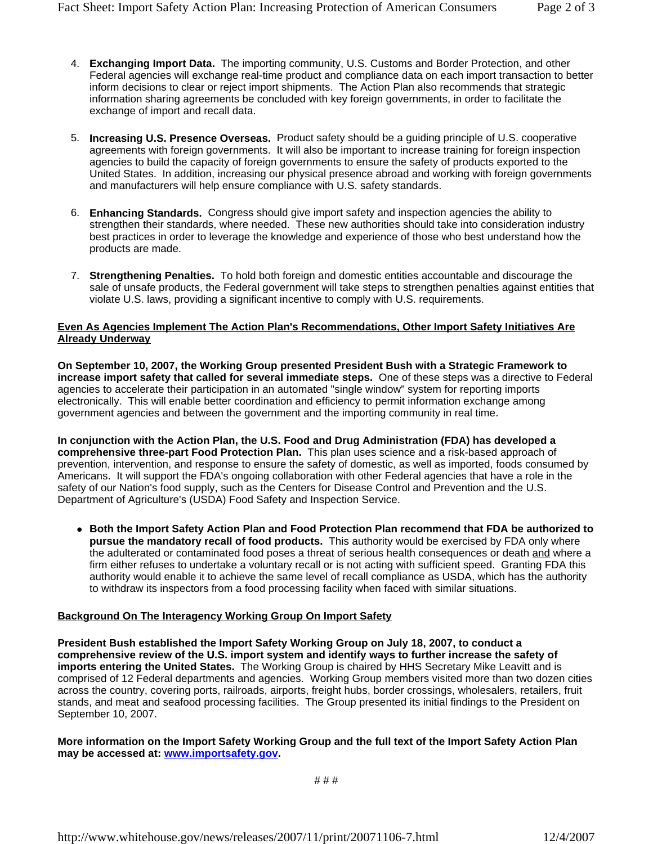- 4. **Exchanging Import Data.** The importing community, U.S. Customs and Border Protection, and other Federal agencies will exchange real-time product and compliance data on each import transaction to better inform decisions to clear or reject import shipments. The Action Plan also recommends that strategic information sharing agreements be concluded with key foreign governments, in order to facilitate the exchange of import and recall data.
- 5. **Increasing U.S. Presence Overseas.** Product safety should be a guiding principle of U.S. cooperative agreements with foreign governments. It will also be important to increase training for foreign inspection agencies to build the capacity of foreign governments to ensure the safety of products exported to the United States. In addition, increasing our physical presence abroad and working with foreign governments and manufacturers will help ensure compliance with U.S. safety standards.
- 6. **Enhancing Standards.** Congress should give import safety and inspection agencies the ability to strengthen their standards, where needed. These new authorities should take into consideration industry best practices in order to leverage the knowledge and experience of those who best understand how the products are made.
- 7. **Strengthening Penalties.** To hold both foreign and domestic entities accountable and discourage the sale of unsafe products, the Federal government will take steps to strengthen penalties against entities that violate U.S. laws, providing a significant incentive to comply with U.S. requirements.

#### **Even As Agencies Implement The Action Plan's Recommendations, Other Import Safety Initiatives Are Already Underway**

**On September 10, 2007, the Working Group presented President Bush with a Strategic Framework to increase import safety that called for several immediate steps.** One of these steps was a directive to Federal agencies to accelerate their participation in an automated "single window" system for reporting imports electronically. This will enable better coordination and efficiency to permit information exchange among government agencies and between the government and the importing community in real time.

**In conjunction with the Action Plan, the U.S. Food and Drug Administration (FDA) has developed a comprehensive three-part Food Protection Plan.** This plan uses science and a risk-based approach of prevention, intervention, and response to ensure the safety of domestic, as well as imported, foods consumed by Americans. It will support the FDA's ongoing collaboration with other Federal agencies that have a role in the safety of our Nation's food supply, such as the Centers for Disease Control and Prevention and the U.S. Department of Agriculture's (USDA) Food Safety and Inspection Service.

**• Both the Import Safety Action Plan and Food Protection Plan recommend that FDA be authorized to pursue the mandatory recall of food products.** This authority would be exercised by FDA only where the adulterated or contaminated food poses a threat of serious health consequences or death and where a firm either refuses to undertake a voluntary recall or is not acting with sufficient speed. Granting FDA this authority would enable it to achieve the same level of recall compliance as USDA, which has the authority to withdraw its inspectors from a food processing facility when faced with similar situations.

## **Background On The Interagency Working Group On Import Safety**

**President Bush established the Import Safety Working Group on July 18, 2007, to conduct a comprehensive review of the U.S. import system and identify ways to further increase the safety of imports entering the United States.** The Working Group is chaired by HHS Secretary Mike Leavitt and is comprised of 12 Federal departments and agencies.Working Group members visited more than two dozen cities across the country, covering ports, railroads, airports, freight hubs, border crossings, wholesalers, retailers, fruit stands, and meat and seafood processing facilities. The Group presented its initial findings to the President on September 10, 2007.

### **More information on the Import Safety Working Group and the full text of the Import Safety Action Plan may be accessed at: www.importsafety.gov.**

# # #

http://www.whitehouse.gov/news/releases/2007/11/print/20071106-7.html 12/4/2007